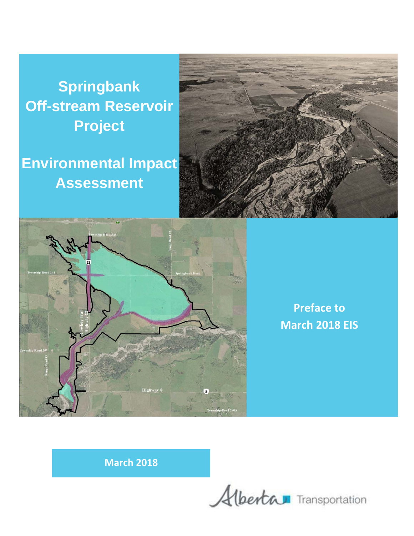**Springbank Off-stream Reservoir Project**

**Environmental Impact Assessment**





**Preface to March 2018 EIS**

**March 2018**

Alberta Transportation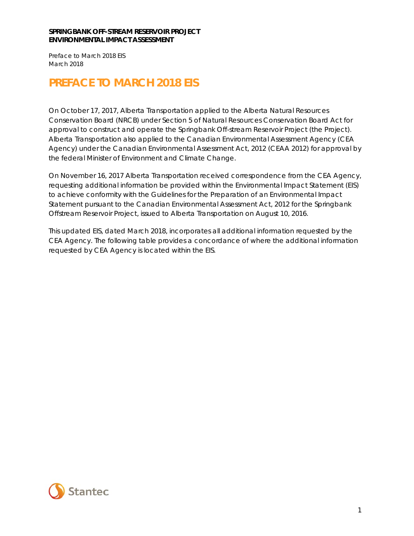Preface to March 2018 EIS March 2018

## **PREFACE TO MARCH 2018 EIS**

On October 17, 2017, Alberta Transportation applied to the Alberta Natural Resources Conservation Board (NRCB) under Section 5 of *Natural Resources Conservation Board Act* for approval to construct and operate the Springbank Off-stream Reservoir Project (the Project). Alberta Transportation also applied to the Canadian Environmental Assessment Agency (CEA Agency) under the *Canadian Environmental Assessment Act, 2012* (CEAA 2012) for approval by the federal Minister of Environment and Climate Change.

On November 16, 2017 Alberta Transportation received correspondence from the CEA Agency, requesting additional information be provided within the Environmental Impact Statement (EIS) to achieve conformity with the *Guidelines for the Preparation of an Environmental Impact Statement pursuant to the Canadian Environmental Assessment Act, 2012 for the Springbank Offstream Reservoir Project*, issued to Alberta Transportation on August 10, 2016.

This updated EIS, dated March 2018, incorporates all additional information requested by the CEA Agency. The following table provides a concordance of where the additional information requested by CEA Agency is located within the EIS.

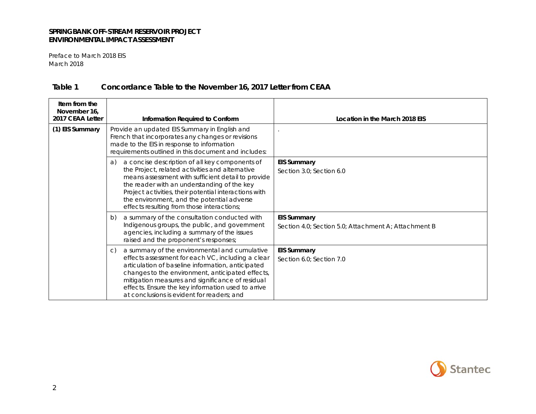Preface to March 2018 EIS March 2018

| Item from the<br>November 16,<br>2017 CEAA Letter | Information Required to Conform                                                                                                                                                                                                                                                                                                                                                        | Location in the March 2018 EIS                                             |
|---------------------------------------------------|----------------------------------------------------------------------------------------------------------------------------------------------------------------------------------------------------------------------------------------------------------------------------------------------------------------------------------------------------------------------------------------|----------------------------------------------------------------------------|
| (1) EIS Summary                                   | Provide an updated EIS Summary in English and<br>French that incorporates any changes or revisions<br>made to the EIS in response to information<br>requirements outlined in this document and includes:                                                                                                                                                                               |                                                                            |
|                                                   | a concise description of all key components of<br>a)<br>the Project, related activities and alternative<br>means assessment with sufficient detail to provide<br>the reader with an understanding of the key<br>Project activities, their potential interactions with<br>the environment, and the potential adverse<br>effects resulting from those interactions;                      | <b>EIS Summary</b><br>Section 3.0; Section 6.0                             |
|                                                   | a summary of the consultation conducted with<br>b)<br>Indigenous groups, the public, and government<br>agencies, including a summary of the issues<br>raised and the proponent's responses;                                                                                                                                                                                            | <b>EIS Summary</b><br>Section 4.0; Section 5.0; Attachment A; Attachment B |
|                                                   | a summary of the environmental and cumulative<br>$\mathcal{C}$ )<br>effects assessment for each VC, including a clear<br>articulation of baseline information, anticipated<br>changes to the environment, anticipated effects,<br>mitigation measures and significance of residual<br>effects. Ensure the key information used to arrive<br>at conclusions is evident for readers; and | <b>EIS Summary</b><br>Section 6.0: Section 7.0                             |

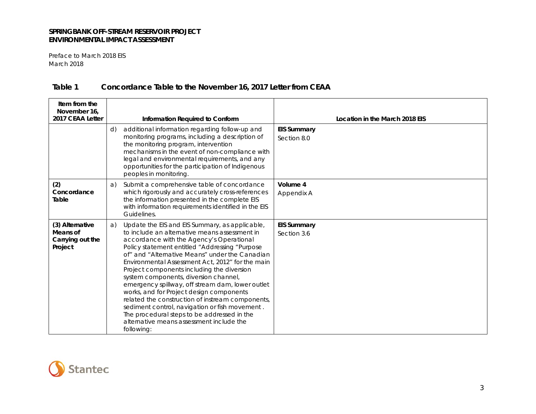Preface to March 2018 EIS March 2018

| Item from the<br>November 16.<br>2017 CEAA Letter          | Information Required to Conform                                                                                                                                                                                                                                                                                                                                                                                                                                                                                                                                                                                                                                                                                 | Location in the March 2018 EIS    |
|------------------------------------------------------------|-----------------------------------------------------------------------------------------------------------------------------------------------------------------------------------------------------------------------------------------------------------------------------------------------------------------------------------------------------------------------------------------------------------------------------------------------------------------------------------------------------------------------------------------------------------------------------------------------------------------------------------------------------------------------------------------------------------------|-----------------------------------|
|                                                            | d)<br>additional information regarding follow-up and<br>monitoring programs, including a description of<br>the monitoring program, intervention<br>mechanisms in the event of non-compliance with<br>legal and environmental requirements, and any<br>opportunities for the participation of Indigenous<br>peoples in monitoring.                                                                                                                                                                                                                                                                                                                                                                               | <b>EIS Summary</b><br>Section 8.0 |
| (2)<br>Concordance<br>Table                                | Submit a comprehensive table of concordance<br>a)<br>which rigorously and accurately cross-references<br>the information presented in the complete EIS<br>with information requirements identified in the EIS<br>Guidelines.                                                                                                                                                                                                                                                                                                                                                                                                                                                                                    | Volume 4<br>Appendix A            |
| (3) Alternative<br>Means of<br>Carrying out the<br>Project | Update the EIS and EIS Summary, as applicable,<br>a)<br>to include an alternative means assessment in<br>accordance with the Agency's Operational<br>Policy statement entitled "Addressing "Purpose<br>of" and "Alternative Means" under the Canadian<br>Environmental Assessment Act, 2012" for the main<br>Project components including the diversion<br>system components, diversion channel,<br>emergency spillway, off stream dam, lower outlet<br>works, and for Project design components<br>related the construction of instream components,<br>sediment control, navigation or fish movement.<br>The procedural steps to be addressed in the<br>alternative means assessment include the<br>following: | <b>EIS Summary</b><br>Section 3.6 |

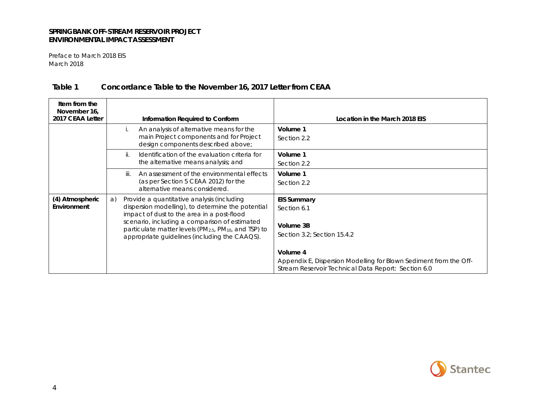Preface to March 2018 EIS March 2018

| Item from the<br>November 16,<br>2017 CEAA Letter | Information Required to Conform                                                                                                                                                                                                                                                                                                        | Location in the March 2018 EIS                                                                                                       |
|---------------------------------------------------|----------------------------------------------------------------------------------------------------------------------------------------------------------------------------------------------------------------------------------------------------------------------------------------------------------------------------------------|--------------------------------------------------------------------------------------------------------------------------------------|
|                                                   | An analysis of alternative means for the<br>main Project components and for Project<br>design components described above;                                                                                                                                                                                                              | Volume 1<br>Section 2.2                                                                                                              |
|                                                   | ii.<br>Identification of the evaluation criteria for<br>the alternative means analysis; and                                                                                                                                                                                                                                            | Volume 1<br>Section 2.2                                                                                                              |
|                                                   | An assessment of the environmental effects<br>iii.<br>(as per Section 5 CEAA 2012) for the<br>alternative means considered.                                                                                                                                                                                                            | Volume 1<br>Section 2.2                                                                                                              |
| (4) Atmospheric<br>Environment                    | Provide a quantitative analysis (including<br>a)<br>dispersion modelling), to determine the potential<br>impact of dust to the area in a post-flood<br>scenario, including a comparison of estimated<br>particulate matter levels (PM <sub>2.5</sub> , PM <sub>10</sub> , and TSP) to<br>appropriate guidelines (including the CAAQS). | <b>EIS Summary</b><br>Section 6.1<br>Volume 3B<br>Section 3.2; Section 15.4.2                                                        |
|                                                   |                                                                                                                                                                                                                                                                                                                                        | Volume 4<br>Appendix E, Dispersion Modelling for Blown Sediment from the Off-<br>Stream Reservoir Technical Data Report: Section 6.0 |

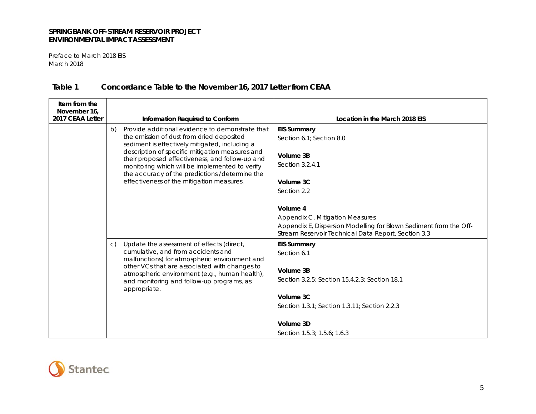Preface to March 2018 EIS March 2018

| Item from the<br>November 16,<br>2017 CEAA Letter | Information Required to Conform                                                                                                                                                                                                                                                                                                                                                                             | Location in the March 2018 EIS                                                                                                                                            |
|---------------------------------------------------|-------------------------------------------------------------------------------------------------------------------------------------------------------------------------------------------------------------------------------------------------------------------------------------------------------------------------------------------------------------------------------------------------------------|---------------------------------------------------------------------------------------------------------------------------------------------------------------------------|
|                                                   | Provide additional evidence to demonstrate that<br>b)<br>the emission of dust from dried deposited<br>sediment is effectively mitigated, including a<br>description of specific mitigation measures and<br>their proposed effectiveness, and follow-up and<br>monitoring which will be implemented to verify<br>the accuracy of the predictions /determine the<br>effectiveness of the mitigation measures. | <b>EIS Summary</b><br>Section 6.1; Section 8.0<br>Volume 3B<br>Section 3.2.4.1<br>Volume 3C<br>Section 2.2                                                                |
|                                                   |                                                                                                                                                                                                                                                                                                                                                                                                             | Volume 4<br>Appendix C, Mitigation Measures<br>Appendix E, Dispersion Modelling for Blown Sediment from the Off-<br>Stream Reservoir Technical Data Report, Section 3.3   |
|                                                   | Update the assessment of effects (direct,<br>$\mathcal{C}$ )<br>cumulative, and from accidents and<br>malfunctions) for atmospheric environment and<br>other VCs that are associated with changes to<br>atmospheric environment (e.g., human health),<br>and monitoring and follow-up programs, as<br>appropriate.                                                                                          | <b>EIS Summary</b><br>Section 6.1<br>Volume 3B<br>Section 3.2.5; Section 15.4.2.3; Section 18.1<br>Volume 3C<br>Section 1.3.1: Section 1.3.11: Section 2.2.3<br>Volume 3D |
|                                                   |                                                                                                                                                                                                                                                                                                                                                                                                             | Section 1.5.3; 1.5.6; 1.6.3                                                                                                                                               |

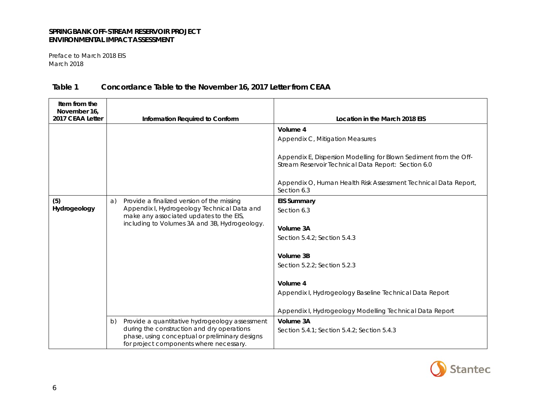Preface to March 2018 EIS March 2018

| Item from the<br>November 16,<br>2017 CEAA Letter | Information Required to Conform                                                                    | Location in the March 2018 EIS                                                                                                                                                              |
|---------------------------------------------------|----------------------------------------------------------------------------------------------------|---------------------------------------------------------------------------------------------------------------------------------------------------------------------------------------------|
|                                                   |                                                                                                    |                                                                                                                                                                                             |
|                                                   |                                                                                                    | Volume 4                                                                                                                                                                                    |
|                                                   |                                                                                                    | Appendix C, Mitigation Measures                                                                                                                                                             |
|                                                   |                                                                                                    | Appendix E, Dispersion Modelling for Blown Sediment from the Off-<br>Stream Reservoir Technical Data Report: Section 6.0<br>Appendix O, Human Health Risk Assessment Technical Data Report, |
|                                                   |                                                                                                    | Section 6.3                                                                                                                                                                                 |
| (5)                                               | Provide a finalized version of the missing<br>a)                                                   | <b>EIS Summary</b>                                                                                                                                                                          |
| Hydrogeology                                      | Appendix I, Hydrogeology Technical Data and                                                        | Section 6.3                                                                                                                                                                                 |
|                                                   | make any associated updates to the EIS,<br>including to Volumes 3A and 3B, Hydrogeology.           |                                                                                                                                                                                             |
|                                                   |                                                                                                    | Volume 3A                                                                                                                                                                                   |
|                                                   |                                                                                                    | Section 5.4.2; Section 5.4.3                                                                                                                                                                |
|                                                   |                                                                                                    |                                                                                                                                                                                             |
|                                                   |                                                                                                    | Volume 3B                                                                                                                                                                                   |
|                                                   |                                                                                                    | Section 5.2.2; Section 5.2.3                                                                                                                                                                |
|                                                   |                                                                                                    |                                                                                                                                                                                             |
|                                                   |                                                                                                    | Volume 4                                                                                                                                                                                    |
|                                                   |                                                                                                    | Appendix I, Hydrogeology Baseline Technical Data Report                                                                                                                                     |
|                                                   |                                                                                                    |                                                                                                                                                                                             |
|                                                   |                                                                                                    | Appendix I, Hydrogeology Modelling Technical Data Report                                                                                                                                    |
|                                                   | Provide a quantitative hydrogeology assessment<br>b)<br>during the construction and dry operations | Volume 3A                                                                                                                                                                                   |
|                                                   | phase, using conceptual or preliminary designs<br>for project components where necessary.          | Section 5.4.1; Section 5.4.2; Section 5.4.3                                                                                                                                                 |

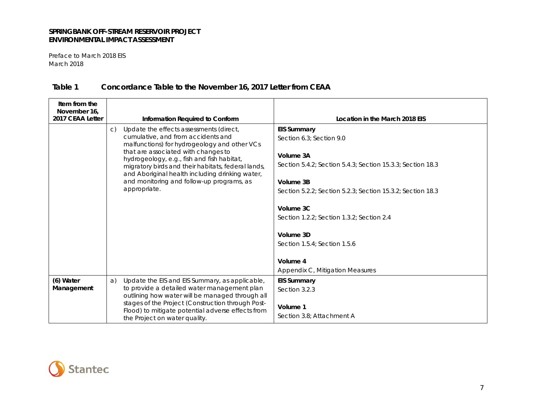Preface to March 2018 EIS March 2018

| Item from the<br>November 16.<br>2017 CEAA Letter | Information Required to Conform                                                                                                                                                         | Location in the March 2018 EIS                                          |
|---------------------------------------------------|-----------------------------------------------------------------------------------------------------------------------------------------------------------------------------------------|-------------------------------------------------------------------------|
|                                                   | Update the effects assessments (direct,<br>$\mathcal{C}$ )<br>cumulative, and from accidents and                                                                                        | <b>EIS Summary</b><br>Section 6.3: Section 9.0                          |
|                                                   | malfunctions) for hydrogeology and other VCs<br>that are associated with changes to<br>hydrogeology, e.g., fish and fish habitat,<br>migratory birds and their habitats, federal lands, | Volume 3A<br>Section 5.4.2: Section 5.4.3: Section 15.3.3: Section 18.3 |
|                                                   | and Aboriginal health including drinking water,<br>and monitoring and follow-up programs, as                                                                                            | Volume 3B                                                               |
|                                                   | appropriate.                                                                                                                                                                            | Section 5.2.2; Section 5.2.3; Section 15.3.2; Section 18.3              |
|                                                   |                                                                                                                                                                                         | Volume 3C                                                               |
|                                                   |                                                                                                                                                                                         | Section 1.2.2; Section 1.3.2; Section 2.4                               |
|                                                   |                                                                                                                                                                                         |                                                                         |
|                                                   |                                                                                                                                                                                         | Volume 3D                                                               |
|                                                   |                                                                                                                                                                                         | Section 1.5.4: Section 1.5.6                                            |
|                                                   |                                                                                                                                                                                         | Volume 4                                                                |
|                                                   |                                                                                                                                                                                         | Appendix C, Mitigation Measures                                         |
| (6) Water                                         | Update the EIS and EIS Summary, as applicable,<br>a)                                                                                                                                    | <b>EIS Summary</b>                                                      |
| Management                                        | to provide a detailed water management plan<br>outlining how water will be managed through all                                                                                          | Section 3.2.3                                                           |
|                                                   | stages of the Project (Construction through Post-<br>Flood) to mitigate potential adverse effects from<br>the Project on water quality.                                                 | Volume 1<br>Section 3.8: Attachment A                                   |

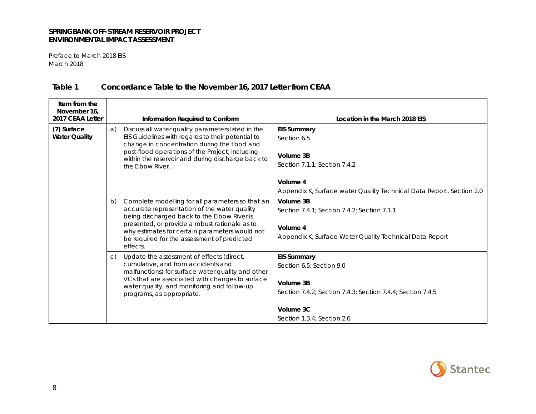Preface to March 2018 EIS March 2018

| Item from the<br>November 16,<br>2017 CEAA Letter |                                                                                                                                                      | Information Required to Conform                                                                                                                                                                            | Location in the March 2018 EIS                                       |
|---------------------------------------------------|------------------------------------------------------------------------------------------------------------------------------------------------------|------------------------------------------------------------------------------------------------------------------------------------------------------------------------------------------------------------|----------------------------------------------------------------------|
| (7) Surface<br><b>Water Quality</b>               | a)                                                                                                                                                   | Discuss all water quality parameters listed in the<br>EIS Guidelines with regards to their potential to                                                                                                    | <b>EIS Summary</b><br>Section 6.5                                    |
|                                                   | change in concentration during the flood and<br>post-flood operations of the Project, including<br>within the reservoir and during discharge back to | Volume 3B                                                                                                                                                                                                  |                                                                      |
|                                                   |                                                                                                                                                      | the Elbow River.                                                                                                                                                                                           | Section 7.1.1: Section 7.4.2                                         |
|                                                   |                                                                                                                                                      |                                                                                                                                                                                                            | Volume 4                                                             |
|                                                   |                                                                                                                                                      |                                                                                                                                                                                                            | Appendix K, Surface water Quality Technical Data Report, Section 2.0 |
|                                                   | b)                                                                                                                                                   | Complete modelling for all parameters so that an                                                                                                                                                           | Volume 3B                                                            |
|                                                   |                                                                                                                                                      | accurate representation of the water quality                                                                                                                                                               | Section 7.4.1; Section 7.4.2; Section 7.1.1                          |
|                                                   |                                                                                                                                                      | being discharged back to the Elbow River is<br>presented, or provide a robust rationale as to<br>why estimates for certain parameters would not<br>be required for the assessment of predicted<br>effects. | Volume 4<br>Appendix K, Surface Water Quality Technical Data Report  |
|                                                   | $\mathsf{C}$                                                                                                                                         | Update the assessment of effects (direct,                                                                                                                                                                  | <b>EIS Summary</b>                                                   |
|                                                   |                                                                                                                                                      | cumulative, and from accidents and<br>malfunctions) for surface water quality and other                                                                                                                    | Section 6.5: Section 9.0                                             |
|                                                   |                                                                                                                                                      | VCs that are associated with changes to surface                                                                                                                                                            | Volume 3B                                                            |
|                                                   |                                                                                                                                                      | water quality, and monitoring and follow-up<br>programs, as appropriate.                                                                                                                                   | Section 7.4.2; Section 7.4.3; Section 7.4.4; Section 7.4.5           |
|                                                   |                                                                                                                                                      |                                                                                                                                                                                                            | Volume 3C                                                            |
|                                                   |                                                                                                                                                      |                                                                                                                                                                                                            | Section 1.3.4; Section 2.6                                           |

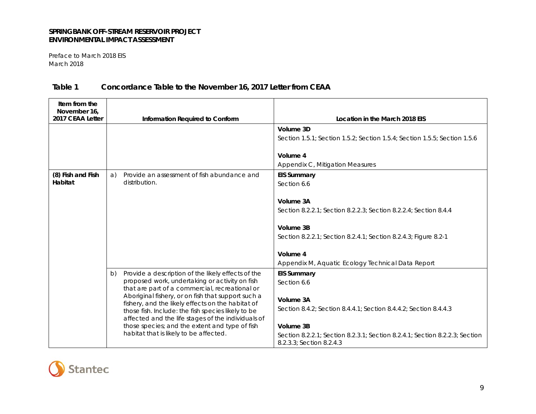Preface to March 2018 EIS March 2018

| Item from the<br>November 16,<br>2017 CEAA Letter | Information Required to Conform                                                                                                                                                                                     | Location in the March 2018 EIS                                                                                       |
|---------------------------------------------------|---------------------------------------------------------------------------------------------------------------------------------------------------------------------------------------------------------------------|----------------------------------------------------------------------------------------------------------------------|
|                                                   |                                                                                                                                                                                                                     | Volume 3D<br>Section 1.5.1; Section 1.5.2; Section 1.5.4; Section 1.5.5; Section 1.5.6                               |
|                                                   |                                                                                                                                                                                                                     | Volume 4<br>Appendix C, Mitigation Measures                                                                          |
| (8) Fish and Fish<br>Habitat                      | Provide an assessment of fish abundance and<br>a)<br>distribution.                                                                                                                                                  | <b>EIS Summary</b><br>Section 6.6                                                                                    |
|                                                   |                                                                                                                                                                                                                     | Volume 3A<br>Section 8.2.2.1: Section 8.2.2.3: Section 8.2.2.4: Section 8.4.4                                        |
|                                                   |                                                                                                                                                                                                                     | Volume 3B<br>Section 8.2.2.1; Section 8.2.4.1; Section 8.2.4.3; Figure 8.2-1                                         |
|                                                   |                                                                                                                                                                                                                     | Volume 4<br>Appendix M, Aquatic Ecology Technical Data Report                                                        |
|                                                   | Provide a description of the likely effects of the<br>b)<br>proposed work, undertaking or activity on fish<br>that are part of a commercial, recreational or                                                        | <b>EIS Summary</b><br>Section 6.6                                                                                    |
|                                                   | Aboriginal fishery, or on fish that support such a<br>fishery, and the likely effects on the habitat of<br>those fish. Include: the fish species likely to be<br>affected and the life stages of the individuals of | Volume 3A<br>Section 8.4.2; Section 8.4.4.1; Section 8.4.4.2; Section 8.4.4.3                                        |
|                                                   | those species; and the extent and type of fish<br>habitat that is likely to be affected.                                                                                                                            | Volume 3B<br>Section 8.2.2.1; Section 8.2.3.1; Section 8.2.4.1; Section 8.2.2.3; Section<br>8.2.3.3: Section 8.2.4.3 |

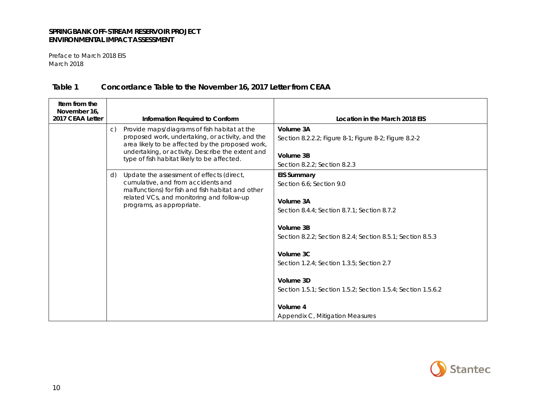Preface to March 2018 EIS March 2018

| Item from the<br>November 16,<br>2017 CEAA Letter | Information Required to Conform                                                                                                                                                                                                                                          | Location in the March 2018 EIS                                                                                                                                                                                                                                                                                                                                              |
|---------------------------------------------------|--------------------------------------------------------------------------------------------------------------------------------------------------------------------------------------------------------------------------------------------------------------------------|-----------------------------------------------------------------------------------------------------------------------------------------------------------------------------------------------------------------------------------------------------------------------------------------------------------------------------------------------------------------------------|
|                                                   | Provide maps/diagrams of fish habitat at the<br>$\mathsf{C}$<br>proposed work, undertaking, or activity, and the<br>area likely to be affected by the proposed work,<br>undertaking, or activity. Describe the extent and<br>type of fish habitat likely to be affected. | Volume 3A<br>Section 8.2.2.2; Figure 8-1; Figure 8-2; Figure 8.2-2<br>Volume 3B<br>Section 8.2.2; Section 8.2.3                                                                                                                                                                                                                                                             |
|                                                   | Update the assessment of effects (direct,<br>d)<br>cumulative, and from accidents and<br>malfunctions) for fish and fish habitat and other<br>related VCs, and monitoring and follow-up<br>programs, as appropriate.                                                     | <b>EIS Summary</b><br>Section 6.6; Section 9.0<br>Volume 3A<br>Section 8.4.4; Section 8.7.1; Section 8.7.2<br>Volume 3B<br>Section 8.2.2: Section 8.2.4: Section 8.5.1: Section 8.5.3<br>Volume 3C<br>Section 1.2.4; Section 1.3.5; Section 2.7<br>Volume 3D<br>Section 1.5.1; Section 1.5.2; Section 1.5.4; Section 1.5.6.2<br>Volume 4<br>Appendix C, Mitigation Measures |

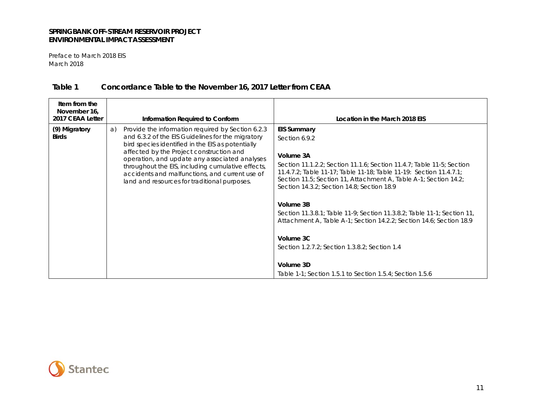Preface to March 2018 EIS March 2018

| Item from the<br>November 16,<br>2017 CEAA Letter | Information Required to Conform                                                                                                                                                                                                                                                                                                                                                                                       | Location in the March 2018 EIS                                                                                                                                                                                                                                          |
|---------------------------------------------------|-----------------------------------------------------------------------------------------------------------------------------------------------------------------------------------------------------------------------------------------------------------------------------------------------------------------------------------------------------------------------------------------------------------------------|-------------------------------------------------------------------------------------------------------------------------------------------------------------------------------------------------------------------------------------------------------------------------|
| (9) Migratory<br><b>Birds</b>                     | Provide the information required by Section 6.2.3<br>a)<br>and 6.3.2 of the EIS Guidelines for the migratory<br>bird species identified in the EIS as potentially<br>affected by the Project construction and<br>operation, and update any associated analyses<br>throughout the EIS, including cumulative effects,<br>accidents and malfunctions, and current use of<br>land and resources for traditional purposes. | <b>EIS Summary</b><br>Section 6.9.2<br>Volume 3A<br>Section 11.1.2.2; Section 11.1.6; Section 11.4.7; Table 11-5; Section<br>11.4.7.2; Table 11-17; Table 11-18; Table 11-19: Section 11.4.7.1;<br>Section 11.5; Section 11, Attachment A, Table A-1; Section 14.2;     |
|                                                   |                                                                                                                                                                                                                                                                                                                                                                                                                       | Section 14.3.2; Section 14.8; Section 18.9<br>Volume 3B<br>Section 11.3.8.1; Table 11-9; Section 11.3.8.2; Table 11-1; Section 11,<br>Attachment A, Table A-1; Section 14.2.2; Section 14.6; Section 18.9<br>Volume 3C<br>Section 1.2.7.2; Section 1.3.8.2; Section 1.4 |
|                                                   |                                                                                                                                                                                                                                                                                                                                                                                                                       | Volume 3D<br>Table 1-1; Section 1.5.1 to Section 1.5.4; Section 1.5.6                                                                                                                                                                                                   |

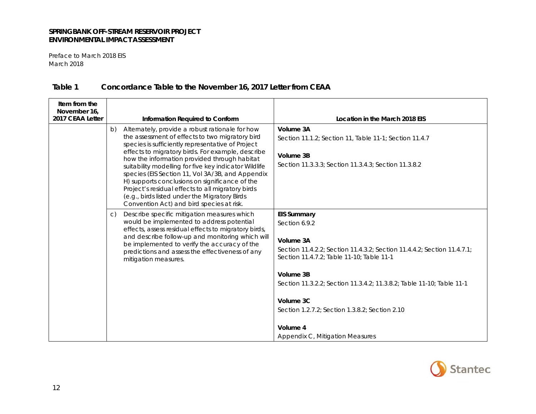Preface to March 2018 EIS March 2018

| Item from the<br>November 16,<br>2017 CEAA Letter | Information Required to Conform                                                                                                                                                                                                                                                                                                                                                                                                                                                                                                                                                                          | Location in the March 2018 EIS                                                                                                                                                                                                                  |
|---------------------------------------------------|----------------------------------------------------------------------------------------------------------------------------------------------------------------------------------------------------------------------------------------------------------------------------------------------------------------------------------------------------------------------------------------------------------------------------------------------------------------------------------------------------------------------------------------------------------------------------------------------------------|-------------------------------------------------------------------------------------------------------------------------------------------------------------------------------------------------------------------------------------------------|
|                                                   | Volume 3A<br>Alternately, provide a robust rationale for how<br>the assessment of effects to two migratory bird<br>species is sufficiently representative of Project<br>effects to migratory birds. For example, describe<br>Volume 3B<br>how the information provided through habitat<br>suitability modelling for five key indicator Wildlife<br>species (EIS Section 11, Vol 3A/3B, and Appendix<br>H) supports conclusions on significance of the<br>Project's residual effects to all migratory birds<br>(e.g., birds listed under the Migratory Birds<br>Convention Act) and bird species at risk. | Section 11.1.2; Section 11, Table 11-1; Section 11.4.7<br>Section 11.3.3.3: Section 11.3.4.3: Section 11.3.8.2                                                                                                                                  |
|                                                   | Describe specific mitigation measures which<br><b>EIS Summary</b><br>would be implemented to address potential<br>Section 6.9.2<br>effects, assess residual effects to migratory birds,<br>and describe follow-up and monitoring which will<br>Volume 3A<br>be implemented to verify the accuracy of the<br>predictions and assess the effectiveness of any<br>Volume 3B<br>Volume 3C<br>Volume 4                                                                                                                                                                                                        | Section 11.4.2.2; Section 11.4.3.2; Section 11.4.4.2; Section 11.4.7.1;<br>Section 11.4.7.2; Table 11-10; Table 11-1<br>Section 11.3.2.2; Section 11.3.4.2; 11.3.8.2; Table 11-10; Table 11-1<br>Section 1.2.7.2; Section 1.3.8.2; Section 2.10 |
|                                                   |                                                                                                                                                                                                                                                                                                                                                                                                                                                                                                                                                                                                          | Appendix C, Mitigation Measures                                                                                                                                                                                                                 |

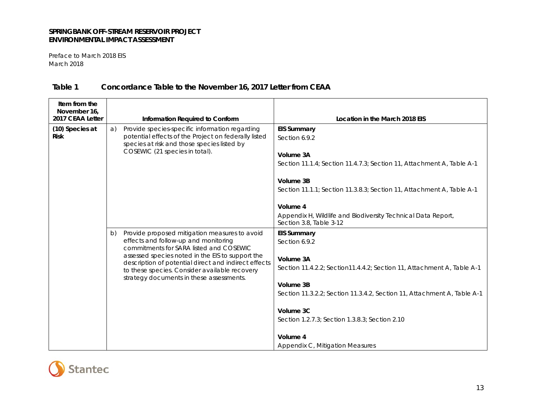Preface to March 2018 EIS March 2018

| Item from the<br>November 16,<br>2017 CEAA Letter | Information Required to Conform                                                                                                                                                                       | Location in the March 2018 EIS                                                                                                                                                                                              |
|---------------------------------------------------|-------------------------------------------------------------------------------------------------------------------------------------------------------------------------------------------------------|-----------------------------------------------------------------------------------------------------------------------------------------------------------------------------------------------------------------------------|
| (10) Species at<br><b>Risk</b>                    | Provide species-specific information regarding<br>a)<br>potential effects of the Project on federally listed<br>species at risk and those species listed by<br>COSEWIC (21 species in total).         | <b>EIS Summary</b><br>Section 6.9.2<br>Volume 3A<br>Section 11.1.4; Section 11.4.7.3; Section 11, Attachment A, Table A-1<br>Volume 3B<br>Section 11.1.1; Section 11.3.8.3; Section 11, Attachment A, Table A-1<br>Volume 4 |
|                                                   |                                                                                                                                                                                                       | Appendix H, Wildlife and Biodiversity Technical Data Report,<br>Section 3.8, Table 3-12                                                                                                                                     |
|                                                   | Provide proposed mitigation measures to avoid<br>b)<br>effects and follow-up and monitoring<br>commitments for SARA listed and COSEWIC                                                                | <b>EIS Summary</b><br>Section 6.9.2                                                                                                                                                                                         |
|                                                   | assessed species noted in the EIS to support the<br>description of potential direct and indirect effects<br>to these species. Consider available recovery<br>strategy documents in these assessments. | Volume 3A<br>Section 11.4.2.2; Section11.4.4.2; Section 11, Attachment A, Table A-1                                                                                                                                         |
|                                                   |                                                                                                                                                                                                       | Volume 3B<br>Section 11.3.2.2; Section 11.3.4.2, Section 11, Attachment A, Table A-1                                                                                                                                        |
|                                                   |                                                                                                                                                                                                       | Volume 3C<br>Section 1.2.7.3; Section 1.3.8.3; Section 2.10                                                                                                                                                                 |
|                                                   |                                                                                                                                                                                                       | Volume 4<br>Appendix C, Mitigation Measures                                                                                                                                                                                 |

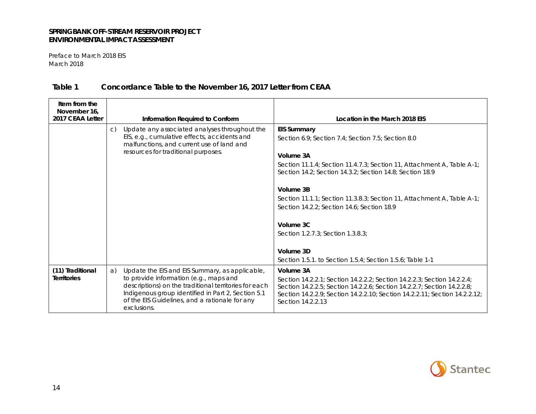Preface to March 2018 EIS March 2018

| Item from the<br>November 16.<br>2017 CEAA Letter | Information Required to Conform                                                                                                                                                                                                                                                | Location in the March 2018 EIS                                                                                                                                                                                                                                     |
|---------------------------------------------------|--------------------------------------------------------------------------------------------------------------------------------------------------------------------------------------------------------------------------------------------------------------------------------|--------------------------------------------------------------------------------------------------------------------------------------------------------------------------------------------------------------------------------------------------------------------|
|                                                   | Update any associated analyses throughout the<br>$\mathcal{C}$ )<br>EIS, e.g., cumulative effects, accidents and<br>malfunctions, and current use of land and<br>resources for traditional purposes.                                                                           | <b>EIS Summary</b><br>Section 6.9; Section 7.4; Section 7.5; Section 8.0<br>Volume 3A                                                                                                                                                                              |
|                                                   |                                                                                                                                                                                                                                                                                | Section 11.1.4; Section 11.4.7.3; Section 11, Attachment A, Table A-1;<br>Section 14.2; Section 14.3.2; Section 14.8; Section 18.9                                                                                                                                 |
|                                                   |                                                                                                                                                                                                                                                                                | Volume 3B<br>Section 11.1.1; Section 11.3.8.3; Section 11, Attachment A, Table A-1;<br>Section 14.2.2: Section 14.6: Section 18.9                                                                                                                                  |
|                                                   |                                                                                                                                                                                                                                                                                | Volume 3C<br>Section 1.2.7.3: Section 1.3.8.3:                                                                                                                                                                                                                     |
|                                                   |                                                                                                                                                                                                                                                                                | Volume 3D<br>Section 1.5.1. to Section 1.5.4; Section 1.5.6; Table 1-1                                                                                                                                                                                             |
| (11) Traditional<br><b>Territories</b>            | Update the EIS and EIS Summary, as applicable,<br>a)<br>to provide information (e.g., maps and<br>descriptions) on the traditional territories for each<br>Indigenous group identified in Part 2, Section 5.1<br>of the EIS Guidelines, and a rationale for any<br>exclusions. | Volume 3A<br>Section 14.2.2.1; Section 14.2.2.2; Section 14.2.2.3; Section 14.2.2.4;<br>Section 14.2.2.5; Section 14.2.2.6; Section 14.2.2.7; Section 14.2.2.8;<br>Section 14.2.2.9; Section 14.2.2.10; Section 14.2.2.11; Section 14.2.2.12;<br>Section 14.2.2.13 |

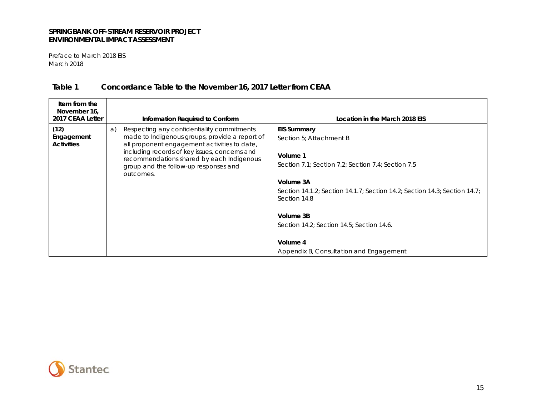Preface to March 2018 EIS March 2018

| Item from the<br>November 16,<br>2017 CEAA Letter | Information Required to Conform                                                                                                                                                                                                                                                                        | Location in the March 2018 EIS                                                                                                                                                                                                                                                                                                             |
|---------------------------------------------------|--------------------------------------------------------------------------------------------------------------------------------------------------------------------------------------------------------------------------------------------------------------------------------------------------------|--------------------------------------------------------------------------------------------------------------------------------------------------------------------------------------------------------------------------------------------------------------------------------------------------------------------------------------------|
| (12)<br>Engagement<br><b>Activities</b>           | Respecting any confidentiality commitments<br>a)<br>made to Indigenous groups, provide a report of<br>all proponent engagement activities to date,<br>including records of key issues, concerns and<br>recommendations shared by each Indigenous<br>group and the follow-up responses and<br>outcomes. | <b>EIS Summary</b><br>Section 5: Attachment B<br>Volume 1<br>Section 7.1; Section 7.2; Section 7.4; Section 7.5<br>Volume 3A<br>Section 14.1.2; Section 14.1.7; Section 14.2; Section 14.3; Section 14.7;<br>Section 14.8<br>Volume 3B<br>Section 14.2; Section 14.5; Section 14.6.<br>Volume 4<br>Appendix B, Consultation and Engagement |

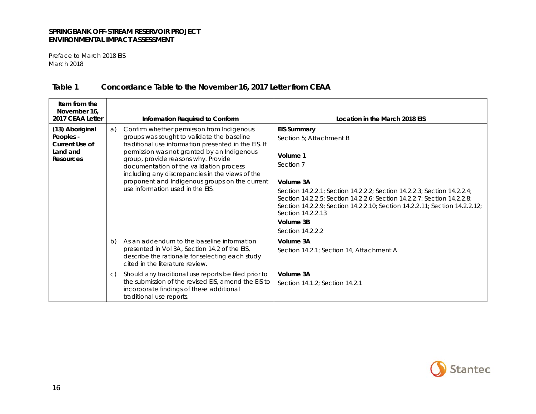Preface to March 2018 EIS March 2018

# **Item from the November 16,**

| November 16,<br>2017 CEAA Letter                                               | Information Required to Conform                                                                                                                                                                                                                                                                                                                                                                                                  | Location in the March 2018 EIS                                                                                                                                                                                                                                                                                                                                                |
|--------------------------------------------------------------------------------|----------------------------------------------------------------------------------------------------------------------------------------------------------------------------------------------------------------------------------------------------------------------------------------------------------------------------------------------------------------------------------------------------------------------------------|-------------------------------------------------------------------------------------------------------------------------------------------------------------------------------------------------------------------------------------------------------------------------------------------------------------------------------------------------------------------------------|
| (13) Aboriginal<br>Peoples -<br>Current Use of<br>Land and<br><b>Resources</b> | Confirm whether permission from Indigenous<br>a)<br>groups was sought to validate the baseline<br>traditional use information presented in the EIS. If<br>permission was not granted by an Indigenous<br>group, provide reasons why. Provide<br>documentation of the validation process<br>including any discrepancies in the views of the<br>proponent and Indigenous groups on the current<br>use information used in the EIS. | <b>EIS Summary</b><br>Section 5: Attachment B<br>Volume 1<br>Section 7<br>Volume 3A<br>Section 14.2.2.1; Section 14.2.2.2; Section 14.2.2.3; Section 14.2.2.4;<br>Section 14.2.2.5; Section 14.2.2.6; Section 14.2.2.7; Section 14.2.2.8;<br>Section 14.2.2.9; Section 14.2.2.10; Section 14.2.2.11; Section 14.2.2.12;<br>Section 14.2.2.13<br>Volume 3B<br>Section 14.2.2.2 |
|                                                                                | As an addendum to the baseline information<br>b)<br>presented in Vol 3A, Section 14.2 of the EIS,<br>describe the rationale for selecting each study<br>cited in the literature review.                                                                                                                                                                                                                                          | Volume 3A<br>Section 14.2.1; Section 14, Attachment A                                                                                                                                                                                                                                                                                                                         |
|                                                                                | Should any traditional use reports be filed prior to<br>$\mathcal{C}$ )<br>the submission of the revised EIS, amend the EIS to<br>incorporate findings of these additional<br>traditional use reports.                                                                                                                                                                                                                           | Volume 3A<br>Section 14.1.2; Section 14.2.1                                                                                                                                                                                                                                                                                                                                   |

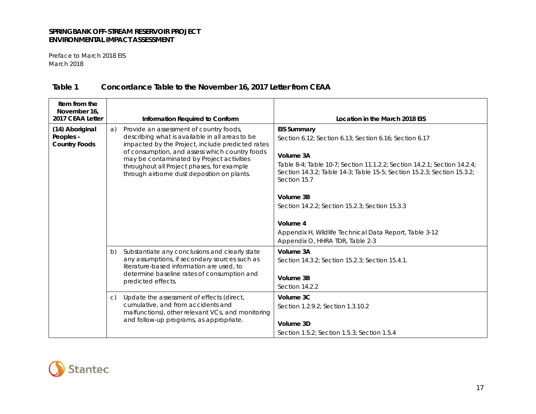Preface to March 2018 EIS March 2018

| Item from the<br>November 16.<br>2017 CEAA Letter    | Information Required to Conform                                                                                                                                                                                                                     | Location in the March 2018 EIS                                                                                                                                      |
|------------------------------------------------------|-----------------------------------------------------------------------------------------------------------------------------------------------------------------------------------------------------------------------------------------------------|---------------------------------------------------------------------------------------------------------------------------------------------------------------------|
| (14) Aboriginal<br>Peoples -<br><b>Country Foods</b> | Provide an assessment of country foods,<br>a)<br>describing what is available in all areas to be<br>impacted by the Project, include predicted rates<br>of consumption, and assess which country foods<br>may be contaminated by Project activities | <b>EIS Summary</b><br>Section 6.12; Section 6.13; Section 6.16; Section 6.17<br>Volume 3A                                                                           |
|                                                      | throughout all Project phases, for example<br>through airborne dust deposition on plants.                                                                                                                                                           | Table 8-4; Table 10-7; Section 11.1.2.2; Section 14.2.1; Section 14.2.4;<br>Section 14.3.2; Table 14-3; Table 15-5; Section 15.2.3; Section 15.3.2;<br>Section 15.7 |
|                                                      |                                                                                                                                                                                                                                                     | Volume 3B<br>Section 14.2.2; Section 15.2.3; Section 15.3.3                                                                                                         |
|                                                      |                                                                                                                                                                                                                                                     | Volume 4<br>Appendix H, Wildlife Technical Data Report, Table 3-12<br>Appendix O, HHRA TDR, Table 2-3                                                               |
|                                                      | Substantiate any conclusions and clearly state<br>b)<br>any assumptions, if secondary sources such as<br>literature-based information are used, to                                                                                                  | Volume 3A<br>Section 14.3.2; Section 15.2.3; Section 15.4.1.                                                                                                        |
|                                                      | determine baseline rates of consumption and<br>predicted effects.                                                                                                                                                                                   | Volume 3B<br>Section 14.2.2                                                                                                                                         |
|                                                      | Update the assessment of effects (direct,<br>$\mathsf{C}$<br>cumulative, and from accidents and<br>malfunctions), other relevant VCs, and monitoring<br>and follow-up programs, as appropriate.                                                     | Volume 3C<br>Section 1.2.9.2; Section 1.3.10.2                                                                                                                      |
|                                                      |                                                                                                                                                                                                                                                     | Volume 3D<br>Section 1.5.2; Section 1.5.3; Section 1.5.4                                                                                                            |

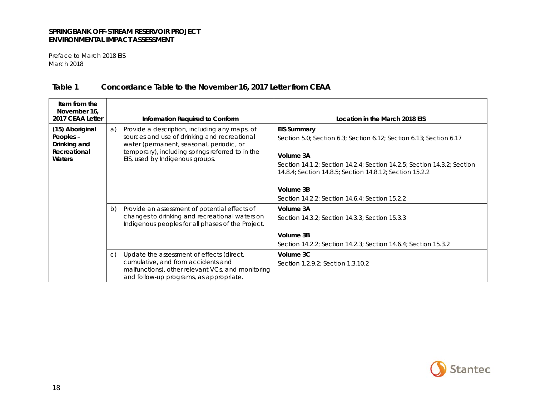Preface to March 2018 EIS March 2018

| Item from the<br>November 16,<br>2017 CEAA Letter                      | Information Required to Conform                                                                                                                                                                                                        | Location in the March 2018 EIS                                                                                                                                                                                                                           |
|------------------------------------------------------------------------|----------------------------------------------------------------------------------------------------------------------------------------------------------------------------------------------------------------------------------------|----------------------------------------------------------------------------------------------------------------------------------------------------------------------------------------------------------------------------------------------------------|
| (15) Aboriginal<br>Peoples -<br>Drinking and<br>Recreational<br>Waters | Provide a description, including any maps, of<br>a)<br>sources and use of drinking and recreational<br>water (permanent, seasonal, periodic, or<br>temporary), including springs referred to in the<br>EIS, used by Indigenous groups. | <b>EIS Summary</b><br>Section 5.0; Section 6.3; Section 6.12; Section 6.13; Section 6.17<br>Volume 3A<br>Section 14.1.2; Section 14.2.4; Section 14.2.5; Section 14.3.2; Section<br>14.8.4; Section 14.8.5; Section 14.8.12; Section 15.2.2<br>Volume 3B |
|                                                                        |                                                                                                                                                                                                                                        | Section 14.2.2; Section 14.6.4; Section 15.2.2                                                                                                                                                                                                           |
|                                                                        | Provide an assessment of potential effects of<br>b)<br>changes to drinking and recreational waters on<br>Indigenous peoples for all phases of the Project.                                                                             | Volume 3A<br>Section 14.3.2; Section 14.3.3; Section 15.3.3                                                                                                                                                                                              |
|                                                                        |                                                                                                                                                                                                                                        | Volume 3B                                                                                                                                                                                                                                                |
|                                                                        |                                                                                                                                                                                                                                        | Section 14.2.2; Section 14.2.3; Section 14.6.4; Section 15.3.2                                                                                                                                                                                           |
|                                                                        | Update the assessment of effects (direct,<br>$\mathcal{C}$ )<br>cumulative, and from accidents and<br>malfunctions), other relevant VCs, and monitoring<br>and follow-up programs, as appropriate.                                     | Volume 3C<br>Section 1.2.9.2: Section 1.3.10.2                                                                                                                                                                                                           |

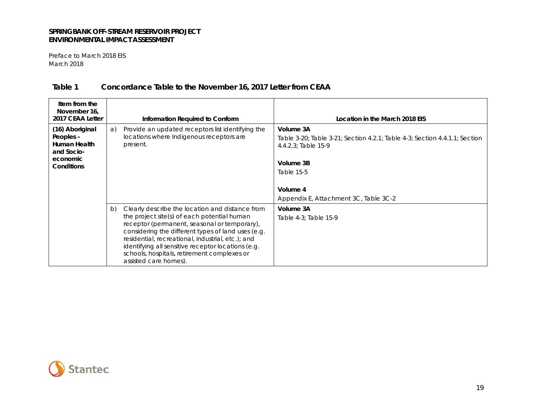Preface to March 2018 EIS March 2018

| Item from the<br>November 16,<br>2017 CEAA Letter                                    | Information Required to Conform                                                                                                                                                                                                                                                                                                                                                               | Location in the March 2018 EIS                                                                                                                                                                 |
|--------------------------------------------------------------------------------------|-----------------------------------------------------------------------------------------------------------------------------------------------------------------------------------------------------------------------------------------------------------------------------------------------------------------------------------------------------------------------------------------------|------------------------------------------------------------------------------------------------------------------------------------------------------------------------------------------------|
| (16) Aboriginal<br>Peoples -<br>Human Health<br>and Socio-<br>economic<br>Conditions | Provide an updated receptors list identifying the<br>a)<br>locations where Indigenous receptors are<br>present.                                                                                                                                                                                                                                                                               | Volume 3A<br>Table 3-20; Table 3-21; Section 4.2.1; Table 4-3; Section 4.4.1.1; Section<br>4.4.2.3; Table 15-9<br>Volume 3B<br>Table 15-5<br>Volume 4<br>Appendix E, Attachment 3C, Table 3C-2 |
|                                                                                      | Clearly describe the location and distance from<br>b)<br>the project site(s) of each potential human<br>receptor (permanent, seasonal or temporary),<br>considering the different types of land uses (e.g.<br>residential, recreational, industrial, etc.); and<br>identifying all sensitive receptor locations (e.g.<br>schools, hospitals, retirement complexes or<br>assisted care homes). | Volume 3A<br>Table 4-3; Table 15-9                                                                                                                                                             |

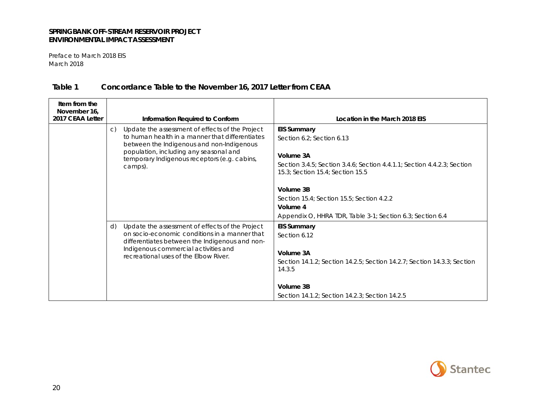Preface to March 2018 EIS March 2018

| Item from the<br>November 16.<br>2017 CEAA Letter | Information Required to Conform                                                                                                                                                                                                                                      | Location in the March 2018 EIS                                                                                                                                              |
|---------------------------------------------------|----------------------------------------------------------------------------------------------------------------------------------------------------------------------------------------------------------------------------------------------------------------------|-----------------------------------------------------------------------------------------------------------------------------------------------------------------------------|
|                                                   | Update the assessment of effects of the Project<br>$\mathsf{C}$<br>to human health in a manner that differentiates<br>between the Indigenous and non-Indigenous<br>population, including any seasonal and<br>temporary Indigenous receptors (e.g. cabins,<br>camps). | <b>EIS Summary</b><br>Section 6.2: Section 6.13<br>Volume 3A<br>Section 3.4.5; Section 3.4.6; Section 4.4.1.1; Section 4.4.2.3; Section<br>15.3; Section 15.4; Section 15.5 |
|                                                   |                                                                                                                                                                                                                                                                      | Volume 3B<br>Section 15.4; Section 15.5; Section 4.2.2<br>Volume 4<br>Appendix O, HHRA TDR, Table 3-1; Section 6.3; Section 6.4                                             |
|                                                   | Update the assessment of effects of the Project<br>d)<br>on socio-economic conditions in a manner that<br>differentiates between the Indigenous and non-<br>Indigenous commercial activities and<br>recreational uses of the Elbow River.                            | <b>EIS Summary</b><br>Section 6.12<br>Volume 3A<br>Section 14.1.2; Section 14.2.5; Section 14.2.7; Section 14.3.3; Section<br>14.3.5                                        |
|                                                   |                                                                                                                                                                                                                                                                      | Volume 3B<br>Section 14.1.2; Section 14.2.3; Section 14.2.5                                                                                                                 |

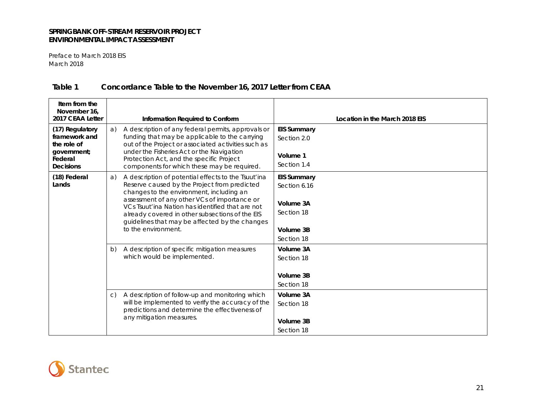Preface to March 2018 EIS March 2018

| Item from the<br>November 16,<br>2017 CEAA Letter |                 | Information Required to Conform                                                                                                                                                                       | Location in the March 2018 EIS     |
|---------------------------------------------------|-----------------|-------------------------------------------------------------------------------------------------------------------------------------------------------------------------------------------------------|------------------------------------|
| (17) Regulatory<br>framework and<br>the role of   | a)              | A description of any federal permits, approvals or<br>funding that may be applicable to the carrying<br>out of the Project or associated activities such as                                           | <b>EIS Summary</b><br>Section 2.0  |
| government;<br>Federal<br><b>Decisions</b>        |                 | under the Fisheries Act or the Navigation<br>Protection Act, and the specific Project<br>components for which these may be required.                                                                  | Volume 1<br>Section 1.4            |
| (18) Federal<br>Lands                             | a)              | A description of potential effects to the Tsuut'ina<br>Reserve caused by the Project from predicted<br>changes to the environment, including an                                                       | <b>EIS Summary</b><br>Section 6.16 |
|                                                   |                 | assessment of any other VCs of importance or<br>VCs Tsuut'ina Nation has identified that are not<br>already covered in other subsections of the EIS<br>guidelines that may be affected by the changes | Volume 3A<br>Section 18            |
|                                                   |                 | to the environment.                                                                                                                                                                                   | Volume 3B<br>Section 18            |
|                                                   | b)              | A description of specific mitigation measures<br>which would be implemented.                                                                                                                          | Volume 3A<br>Section 18            |
|                                                   |                 |                                                                                                                                                                                                       | Volume 3B<br>Section 18            |
|                                                   | $\mathcal{C}$ ) | A description of follow-up and monitoring which<br>will be implemented to verify the accuracy of the<br>predictions and determine the effectiveness of<br>any mitigation measures.                    | Volume 3A<br>Section 18            |
|                                                   |                 |                                                                                                                                                                                                       | Volume 3B<br>Section 18            |

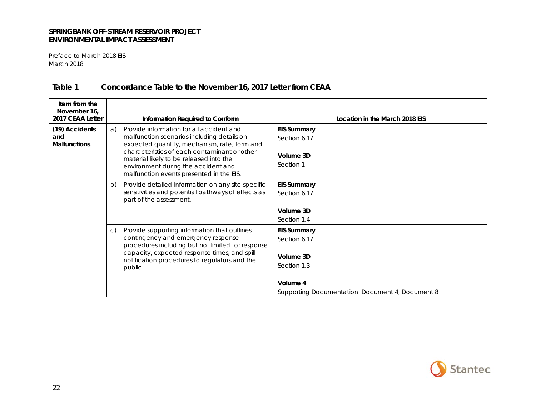Preface to March 2018 EIS March 2018

| Item from the<br>November 16,<br>2017 CEAA Letter |              | Information Required to Conform                                                                                                                                                                                                                                                                                      | Location in the March 2018 EIS                                 |
|---------------------------------------------------|--------------|----------------------------------------------------------------------------------------------------------------------------------------------------------------------------------------------------------------------------------------------------------------------------------------------------------------------|----------------------------------------------------------------|
| (19) Accidents<br>and<br><b>Malfunctions</b>      | a)           | Provide information for all accident and<br>malfunction scenarios including details on<br>expected quantity, mechanism, rate, form and<br>characteristics of each contaminant or other<br>material likely to be released into the<br>environment during the accident and<br>malfunction events presented in the EIS. | <b>EIS Summary</b><br>Section 6.17<br>Volume 3D<br>Section 1   |
|                                                   | b)           | Provide detailed information on any site-specific<br>sensitivities and potential pathways of effects as<br>part of the assessment.                                                                                                                                                                                   | <b>EIS Summary</b><br>Section 6.17<br>Volume 3D<br>Section 1.4 |
|                                                   | $\mathsf{C}$ | Provide supporting information that outlines<br>contingency and emergency response<br>procedures including but not limited to: response<br>capacity, expected response times, and spill<br>notification procedures to regulators and the<br>public.                                                                  | <b>EIS Summary</b><br>Section 6.17<br>Volume 3D<br>Section 1.3 |
|                                                   |              |                                                                                                                                                                                                                                                                                                                      | Volume 4<br>Supporting Documentation: Document 4, Document 8   |

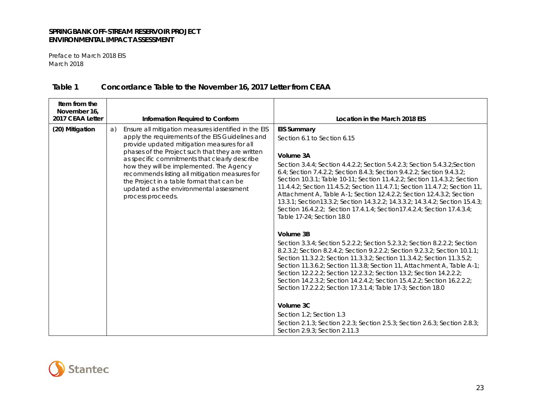Preface to March 2018 EIS March 2018

| Item from the<br>November 16,<br>2017 CEAA Letter | Information Required to Conform                                                                                                                                                                                                                                                                                                                                                                                                                                               | Location in the March 2018 EIS                                                                                                                                                                                                                                                                                                                                                                                                                                                                                                                                                                                                                                                                                                                                                                                                                                                                                                                                                                                                                        |
|---------------------------------------------------|-------------------------------------------------------------------------------------------------------------------------------------------------------------------------------------------------------------------------------------------------------------------------------------------------------------------------------------------------------------------------------------------------------------------------------------------------------------------------------|-------------------------------------------------------------------------------------------------------------------------------------------------------------------------------------------------------------------------------------------------------------------------------------------------------------------------------------------------------------------------------------------------------------------------------------------------------------------------------------------------------------------------------------------------------------------------------------------------------------------------------------------------------------------------------------------------------------------------------------------------------------------------------------------------------------------------------------------------------------------------------------------------------------------------------------------------------------------------------------------------------------------------------------------------------|
| (20) Mitigation                                   | Ensure all mitigation measures identified in the EIS<br>a)<br>apply the requirements of the EIS Guidelines and<br>provide updated mitigation measures for all<br>phases of the Project such that they are written<br>as specific commitments that clearly describe<br>how they will be implemented. The Agency<br>recommends listing all mitigation measures for<br>the Project in a table format that can be<br>updated as the environmental assessment<br>process proceeds. | <b>EIS Summary</b><br>Section 6.1 to Section 6.15<br>Volume 3A<br>Section 3.4.4; Section 4.4.2.2; Section 5.4.2.3; Section 5.4.3.2; Section<br>6.4; Section 7.4.2.2; Section 8.4.3; Section 9.4.2.2; Section 9.4.3.2;<br>Section 10.3.1; Table 10-11; Section 11.4.2.2; Section 11.4.3.2; Section<br>11.4.4.2; Section 11.4.5.2; Section 11.4.7.1; Section 11.4.7.2; Section 11,<br>Attachment A, Table A-1; Section 12.4.2.2; Section 12.4.3.2; Section<br>13.3.1; Section13.3.2; Section 14.3.2.2; 14.3.3.2; 14.3.4.2; Section 15.4.3;<br>Section 16.4.2.2; Section 17.4.1.4; Section 17.4.2.4; Section 17.4.3.4;<br>Table 17-24: Section 18.0<br>Volume 3B<br>Section 3.3.4; Section 5.2.2.2; Section 5.2.3.2; Section 8.2.2.2; Section<br>8.2.3.2; Section 8.2.4.2; Section 9.2.2.2; Section 9.2.3.2; Section 10.1.1;<br>Section 11.3.2.2; Section 11.3.3.2; Section 11.3.4.2; Section 11.3.5.2;<br>Section 11.3.6.2; Section 11.3.8; Section 11, Attachment A, Table A-1;<br>Section 12.2.2.2; Section 12.2.3.2; Section 13.2; Section 14.2.2.2; |
|                                                   |                                                                                                                                                                                                                                                                                                                                                                                                                                                                               | Section 14.2.3.2; Section 14.2.4.2; Section 15.4.2.2; Section 16.2.2.2;<br>Section 17.2.2.2; Section 17.3.1.4; Table 17-3; Section 18.0<br>Volume 3C<br>Section 1.2; Section 1.3<br>Section 2.1.3; Section 2.2.3; Section 2.5.3; Section 2.6.3; Section 2.8.3;<br>Section 2.9.3: Section 2.11.3                                                                                                                                                                                                                                                                                                                                                                                                                                                                                                                                                                                                                                                                                                                                                       |

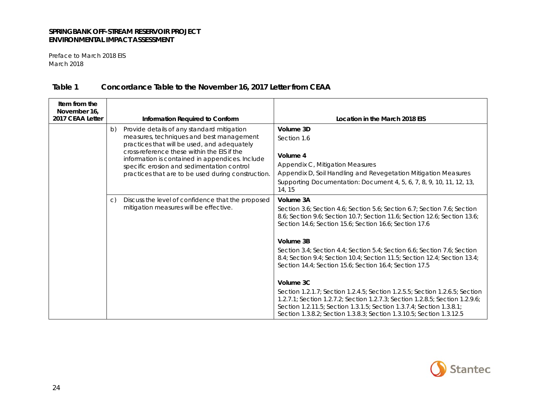Preface to March 2018 EIS March 2018

| Item from the<br>November 16.<br>2017 CEAA Letter | Information Required to Conform                                                                                                                                                                                                                                                                                                                   | Location in the March 2018 EIS                                                                                                                                                                                                                                                                                           |
|---------------------------------------------------|---------------------------------------------------------------------------------------------------------------------------------------------------------------------------------------------------------------------------------------------------------------------------------------------------------------------------------------------------|--------------------------------------------------------------------------------------------------------------------------------------------------------------------------------------------------------------------------------------------------------------------------------------------------------------------------|
|                                                   | Provide details of any standard mitigation<br>b)<br>measures, techniques and best management<br>practices that will be used, and adequately<br>cross-reference these within the EIS if the<br>information is contained in appendices. Include<br>specific erosion and sedimentation control<br>practices that are to be used during construction. | Volume 3D<br>Section 1.6<br>Volume 4<br>Appendix C, Mitigation Measures<br>Appendix D, Soil Handling and Revegetation Mitigation Measures<br>Supporting Documentation: Document 4, 5, 6, 7, 8, 9, 10, 11, 12, 13,<br>14, 15                                                                                              |
|                                                   | Discuss the level of confidence that the proposed<br>$\mathcal{C}$ )<br>mitigation measures will be effective.                                                                                                                                                                                                                                    | Volume 3A<br>Section 3.6; Section 4.6; Section 5.6; Section 6.7; Section 7.6; Section<br>8.6; Section 9.6; Section 10.7; Section 11.6; Section 12.6; Section 13.6;<br>Section 14.6: Section 15.6: Section 16.6: Section 17.6                                                                                             |
|                                                   |                                                                                                                                                                                                                                                                                                                                                   | Volume 3B<br>Section 3.4: Section 4.4: Section 5.4: Section 6.6: Section 7.6: Section<br>8.4; Section 9.4; Section 10.4; Section 11.5; Section 12.4; Section 13.4;<br>Section 14.4: Section 15.6: Section 16.4: Section 17.5                                                                                             |
|                                                   |                                                                                                                                                                                                                                                                                                                                                   | Volume 3C<br>Section 1.2.1.7; Section 1.2.4.5; Section 1.2.5.5; Section 1.2.6.5; Section<br>1.2.7.1; Section 1.2.7.2; Section 1.2.7.3; Section 1.2.8.5; Section 1.2.9.6;<br>Section 1.2.11.5; Section 1.3.1.5; Section 1.3.7.4; Section 1.3.8.1;<br>Section 1.3.8.2; Section 1.3.8.3; Section 1.3.10.5; Section 1.3.12.5 |

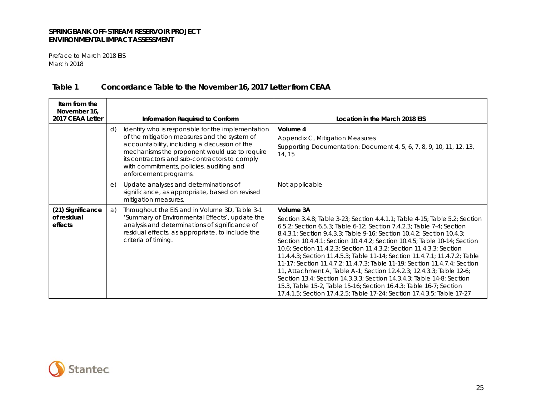Preface to March 2018 EIS March 2018

| Item from the<br>November 16,<br>2017 CEAA Letter | Information Required to Conform                                                                                                                                                                                                                                                                                                  | Location in the March 2018 EIS                                                                                                                                                                                                                                                                                                                                                                                                                                                                                                                                                                                                                                                                                                                                                                                                                           |
|---------------------------------------------------|----------------------------------------------------------------------------------------------------------------------------------------------------------------------------------------------------------------------------------------------------------------------------------------------------------------------------------|----------------------------------------------------------------------------------------------------------------------------------------------------------------------------------------------------------------------------------------------------------------------------------------------------------------------------------------------------------------------------------------------------------------------------------------------------------------------------------------------------------------------------------------------------------------------------------------------------------------------------------------------------------------------------------------------------------------------------------------------------------------------------------------------------------------------------------------------------------|
|                                                   | Identify who is responsible for the implementation<br>d)<br>of the mitigation measures and the system of<br>accountability, including a discussion of the<br>mechanisms the proponent would use to require<br>its contractors and sub-contractors to comply<br>with commitments, policies, auditing and<br>enforcement programs. | Volume 4<br>Appendix C, Mitigation Measures<br>Supporting Documentation: Document 4, 5, 6, 7, 8, 9, 10, 11, 12, 13,<br>14, 15                                                                                                                                                                                                                                                                                                                                                                                                                                                                                                                                                                                                                                                                                                                            |
|                                                   | Update analyses and determinations of<br>$\epsilon$<br>significance, as appropriate, based on revised<br>mitigation measures.                                                                                                                                                                                                    | Not applicable                                                                                                                                                                                                                                                                                                                                                                                                                                                                                                                                                                                                                                                                                                                                                                                                                                           |
| (21) Significance<br>of residual<br>effects       | Throughout the EIS and in Volume 3D, Table 3-1<br>a)<br>'Summary of Environmental Effects', update the<br>analysis and determinations of significance of<br>residual effects, as appropriate, to include the<br>criteria of timing.                                                                                              | Volume 3A<br>Section 3.4.8; Table 3-23; Section 4.4.1.1; Table 4-15; Table 5.2; Section<br>6.5.2; Section 6.5.3; Table 6-12; Section 7.4.2.3; Table 7-4; Section<br>8.4.3.1; Section 9.4.3.3; Table 9-16; Section 10.4.2; Section 10.4.3;<br>Section 10.4.4.1; Section 10.4.4.2; Section 10.4.5; Table 10-14; Section<br>10.6; Section 11.4.2.3; Section 11.4.3.2; Section 11.4.3.3; Section<br>11.4.4.3; Section 11.4.5.3; Table 11-14; Section 11.4.7.1; 11.4.7.2; Table<br>11-17; Section 11.4.7.2; 11.4.7.3; Table 11-19; Section 11.4.7.4; Section<br>11, Attachment A, Table A-1; Section 12.4.2.3; 12.4.3.3; Table 12-6;<br>Section 13.4; Section 14.3.3.3; Section 14.3.4.3; Table 14-8; Section<br>15.3, Table 15-2, Table 15-16; Section 16.4.3; Table 16-7; Section<br>17.4.1.5; Section 17.4.2.5; Table 17-24; Section 17.4.3.5; Table 17-27 |

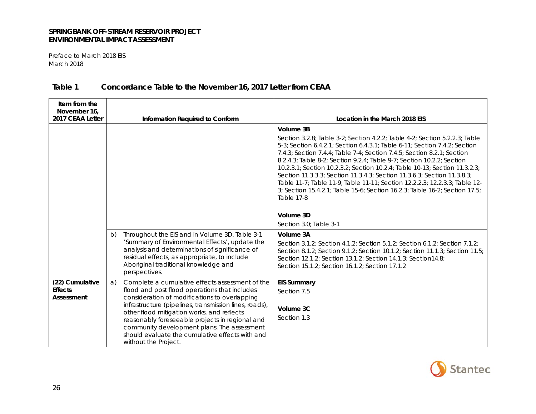Preface to March 2018 EIS March 2018

| Item from the<br>November 16,<br>2017 CEAA Letter | Information Required to Conform                                                                                                                                                                                                                                                                                                                                                                                                              | Location in the March 2018 EIS                                                                                                                                                                                                                                                                                                                                                                                                                                                                                                                                                                                                                                                                    |
|---------------------------------------------------|----------------------------------------------------------------------------------------------------------------------------------------------------------------------------------------------------------------------------------------------------------------------------------------------------------------------------------------------------------------------------------------------------------------------------------------------|---------------------------------------------------------------------------------------------------------------------------------------------------------------------------------------------------------------------------------------------------------------------------------------------------------------------------------------------------------------------------------------------------------------------------------------------------------------------------------------------------------------------------------------------------------------------------------------------------------------------------------------------------------------------------------------------------|
|                                                   |                                                                                                                                                                                                                                                                                                                                                                                                                                              | Volume 3B<br>Section 3.2.8; Table 3-2; Section 4.2.2; Table 4-2; Section 5.2.2.3; Table<br>5-3; Section 6.4.2.1; Section 6.4.3.1; Table 6-11; Section 7.4.2; Section<br>7.4.3; Section 7.4.4; Table 7-4; Section 7.4.5; Section 8.2.1; Section<br>8.2.4.3; Table 8-2; Section 9.2.4; Table 9-7; Section 10.2.2; Section<br>10.2.3.1; Section 10.2.3.2; Section 10.2.4; Table 10-13; Section 11.3.2.3;<br>Section 11.3.3.3; Section 11.3.4.3; Section 11.3.6.3; Section 11.3.8.3;<br>Table 11-7; Table 11-9; Table 11-11; Section 12.2.2.3; 12.2.3.3; Table 12-<br>3; Section 15.4.2.1; Table 15-6; Section 16.2.3; Table 16-2; Section 17.5;<br>Table 17-8<br>Volume 3D<br>Section 3.0; Table 3-1 |
|                                                   | Throughout the EIS and in Volume 3D, Table 3-1<br>b)<br>'Summary of Environmental Effects', update the<br>analysis and determinations of significance of<br>residual effects, as appropriate, to include<br>Aboriginal traditional knowledge and<br>perspectives.                                                                                                                                                                            | Volume 3A<br>Section 3.1.2; Section 4.1.2; Section 5.1.2; Section 6.1.2; Section 7.1.2;<br>Section 8.1.2; Section 9.1.2; Section 10.1.2; Section 11.1.3; Section 11.5;<br>Section 12.1.2; Section 13.1.2; Section 14.1.3; Section 14.8;<br>Section 15.1.2; Section 16.1.2; Section 17.1.2                                                                                                                                                                                                                                                                                                                                                                                                         |
| (22) Cumulative<br><b>Effects</b><br>Assessment   | Complete a cumulative effects assessment of the<br>a)<br>flood and post flood operations that includes<br>consideration of modifications to overlapping<br>infrastructure (pipelines, transmission lines, roads),<br>other flood mitigation works, and reflects<br>reasonably foreseeable projects in regional and<br>community development plans. The assessment<br>should evaluate the cumulative effects with and<br>without the Project. | <b>EIS Summary</b><br>Section 7.5<br>Volume 3C<br>Section 1.3                                                                                                                                                                                                                                                                                                                                                                                                                                                                                                                                                                                                                                     |

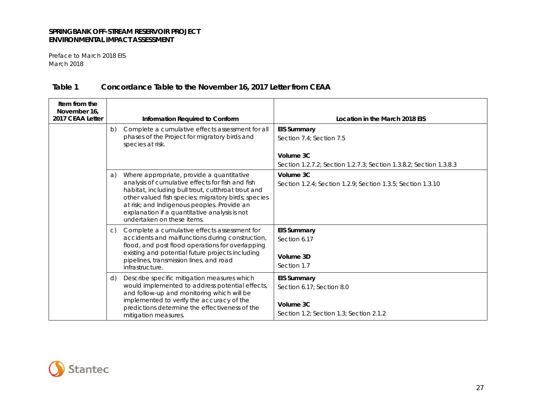Preface to March 2018 EIS March 2018

| Item from the<br>November 16.<br>2017 CEAA Letter | Information Required to Conform                                                                                                                                                                                                                                                             | Location in the March 2018 EIS                                     |
|---------------------------------------------------|---------------------------------------------------------------------------------------------------------------------------------------------------------------------------------------------------------------------------------------------------------------------------------------------|--------------------------------------------------------------------|
|                                                   | Complete a cumulative effects assessment for all<br>b)<br>phases of the Project for migratory birds and<br>species at risk.                                                                                                                                                                 | <b>EIS Summary</b><br>Section 7.4: Section 7.5                     |
|                                                   |                                                                                                                                                                                                                                                                                             | Volume 3C                                                          |
|                                                   |                                                                                                                                                                                                                                                                                             | Section 1.2.7.2: Section 1.2.7.3: Section 1.3.8.2: Section 1.3.8.3 |
|                                                   | Where appropriate, provide a quantitative<br>a)                                                                                                                                                                                                                                             | Volume 3C                                                          |
|                                                   | analysis of cumulative effects for fish and fish<br>habitat, including bull trout, cutthroat trout and<br>other valued fish species; migratory birds; species<br>at risk; and Indigenous peoples. Provide an<br>explanation if a quantitative analysis is not<br>undertaken on these items. | Section 1.2.4; Section 1.2.9; Section 1.3.5; Section 1.3.10        |
|                                                   | Complete a cumulative effects assessment for<br>$\mathsf{C}$                                                                                                                                                                                                                                | <b>EIS Summary</b>                                                 |
|                                                   | accidents and malfunctions during construction,<br>flood, and post flood operations for overlapping                                                                                                                                                                                         | Section 6.17                                                       |
|                                                   | existing and potential future projects including<br>pipelines, transmission lines, and road                                                                                                                                                                                                 | Volume 3D                                                          |
|                                                   | infrastructure.                                                                                                                                                                                                                                                                             | Section 1.7                                                        |
|                                                   | Describe specific mitigation measures which<br>d)<br>would implemented to address potential effects,                                                                                                                                                                                        | <b>EIS Summary</b>                                                 |
|                                                   | and follow-up and monitoring which will be                                                                                                                                                                                                                                                  | Section 6.17: Section 8.0                                          |
|                                                   | implemented to verify the accuracy of the<br>predictions determine the effectiveness of the                                                                                                                                                                                                 | Volume 3C                                                          |
|                                                   | mitigation measures.                                                                                                                                                                                                                                                                        | Section 1.2: Section 1.3: Section 2.1.2                            |

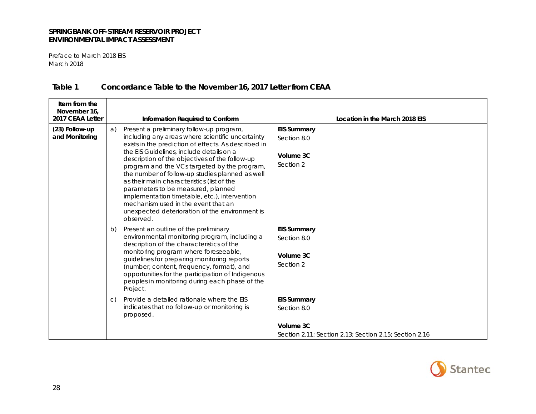Preface to March 2018 EIS March 2018

| Item from the<br>November 16,<br>2017 CEAA Letter | Information Required to Conform                                                                                                                                                                                                                                                                                                                                                                                                                                                                                                                                                                        | Location in the March 2018 EIS                                                                           |
|---------------------------------------------------|--------------------------------------------------------------------------------------------------------------------------------------------------------------------------------------------------------------------------------------------------------------------------------------------------------------------------------------------------------------------------------------------------------------------------------------------------------------------------------------------------------------------------------------------------------------------------------------------------------|----------------------------------------------------------------------------------------------------------|
| (23) Follow-up<br>and Monitoring                  | Present a preliminary follow-up program,<br>a)<br>including any areas where scientific uncertainty<br>exists in the prediction of effects. As described in<br>the EIS Guidelines, include details on a<br>description of the objectives of the follow-up<br>program and the VCs targeted by the program,<br>the number of follow-up studies planned as well<br>as their main characteristics (list of the<br>parameters to be measured, planned<br>implementation timetable, etc.), intervention<br>mechanism used in the event that an<br>unexpected deterioration of the environment is<br>observed. | <b>EIS Summary</b><br>Section 8.0<br>Volume 3C<br>Section 2                                              |
|                                                   | Present an outline of the preliminary<br>b)<br>environmental monitoring program, including a<br>description of the characteristics of the<br>monitoring program where foreseeable,<br>guidelines for preparing monitoring reports<br>(number, content, frequency, format), and<br>opportunities for the participation of Indigenous<br>peoples in monitoring during each phase of the<br>Project.                                                                                                                                                                                                      | <b>EIS Summary</b><br>Section 8.0<br>Volume 3C<br>Section 2                                              |
|                                                   | Provide a detailed rationale where the EIS<br>$\mathcal{C}$ )<br>indicates that no follow-up or monitoring is<br>proposed.                                                                                                                                                                                                                                                                                                                                                                                                                                                                             | <b>EIS Summary</b><br>Section 8.0<br>Volume 3C<br>Section 2.11: Section 2.13: Section 2.15: Section 2.16 |

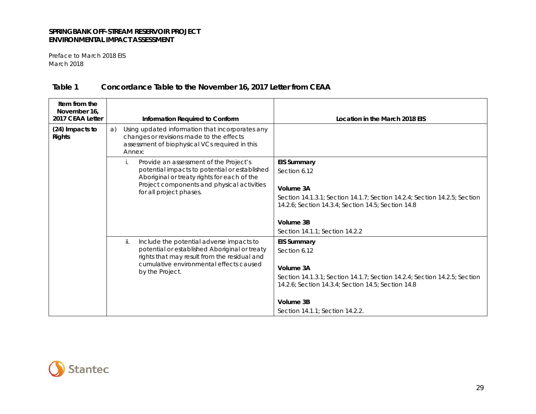Preface to March 2018 EIS March 2018

| Item from the<br>November 16.<br>2017 CEAA Letter | Information Required to Conform                                                                                                                                                                                       | Location in the March 2018 EIS                                                                                                                                                                                                     |
|---------------------------------------------------|-----------------------------------------------------------------------------------------------------------------------------------------------------------------------------------------------------------------------|------------------------------------------------------------------------------------------------------------------------------------------------------------------------------------------------------------------------------------|
| (24) Impacts to<br><b>Rights</b>                  | Using updated information that incorporates any<br>a)<br>changes or revisions made to the effects<br>assessment of biophysical VCs required in this<br>Annex:                                                         |                                                                                                                                                                                                                                    |
|                                                   | Provide an assessment of the Project's<br>i.<br>potential impacts to potential or established<br>Aboriginal or treaty rights for each of the<br>Project components and physical activities<br>for all project phases. | <b>EIS Summary</b><br>Section 6.12<br>Volume 3A<br>Section 14.1.3.1; Section 14.1.7; Section 14.2.4; Section 14.2.5; Section<br>14.2.6; Section 14.3.4; Section 14.5; Section 14.8<br>Volume 3B<br>Section 14.1.1; Section 14.2.2  |
|                                                   | ii.<br>Include the potential adverse impacts to<br>potential or established Aboriginal or treaty<br>rights that may result from the residual and<br>cumulative environmental effects caused<br>by the Project.        | <b>EIS Summary</b><br>Section 6.12<br>Volume 3A<br>Section 14.1.3.1; Section 14.1.7; Section 14.2.4; Section 14.2.5; Section<br>14.2.6; Section 14.3.4; Section 14.5; Section 14.8<br>Volume 3B<br>Section 14.1.1; Section 14.2.2. |